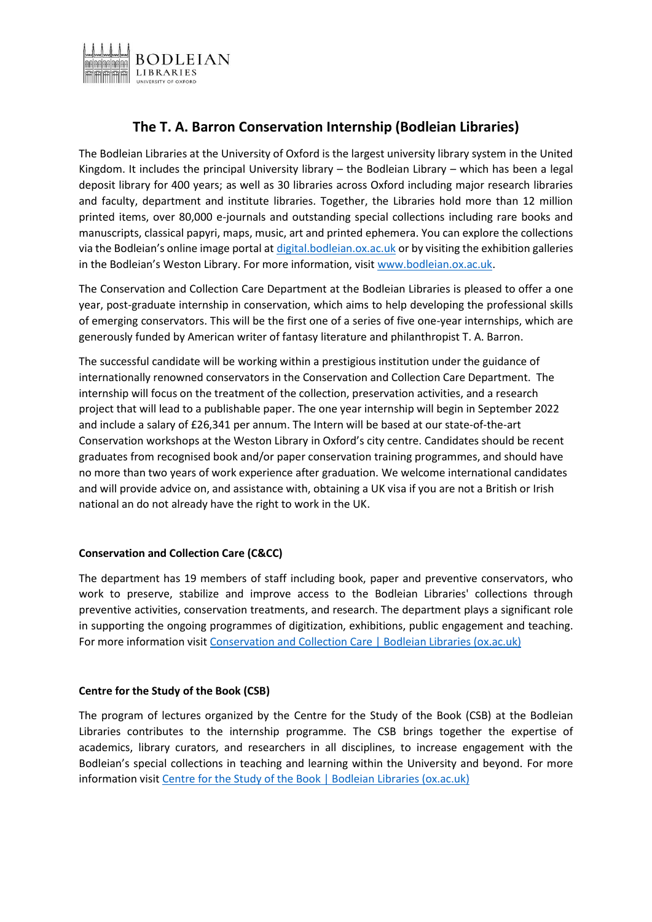

# **The T. A. Barron Conservation Internship (Bodleian Libraries)**

The Bodleian Libraries at the University of Oxford is the largest university library system in the United Kingdom. It includes the principal University library – the Bodleian Library – which has been a legal deposit library for 400 years; as well as 30 libraries across Oxford including major research libraries and faculty, department and institute libraries. Together, the Libraries hold more than 12 million printed items, over 80,000 e-journals and outstanding special collections including rare books and manuscripts, classical papyri, maps, music, art and printed ephemera. You can explore the collections via the Bodleian's online image portal at [digital.bodleian.ox.ac.uk](http://digital.bodleian.ox.ac.uk/) or by visiting the exhibition galleries in the Bodleian's Weston Library. For more information, visit [www.bodleian.ox.ac.uk.](http://www.bodleian.ox.ac.uk/)

The Conservation and Collection Care Department at the Bodleian Libraries is pleased to offer a one year, post-graduate internship in conservation, which aims to help developing the professional skills of emerging conservators. This will be the first one of a series of five one-year internships, which are generously funded by American writer of fantasy literature and philanthropist T. A. Barron.

The successful candidate will be working within a prestigious institution under the guidance of internationally renowned conservators in the Conservation and Collection Care Department. The internship will focus on the treatment of the collection, preservation activities, and a research project that will lead to a publishable paper. The one year internship will begin in September 2022 and include a salary of £26,341 per annum. The Intern will be based at our state-of-the-art Conservation workshops at the Weston Library in Oxford's city centre. Candidates should be recent graduates from recognised book and/or paper conservation training programmes, and should have no more than two years of work experience after graduation. We welcome international candidates and will provide advice on, and assistance with, obtaining a UK visa if you are not a British or Irish national an do not already have the right to work in the UK.

# **Conservation and Collection Care (C&CC)**

The department has 19 members of staff including book, paper and preventive conservators, who work to preserve, stabilize and improve access to the Bodleian Libraries' collections through preventive activities, conservation treatments, and research. The department plays a significant role in supporting the ongoing programmes of digitization, exhibitions, public engagement and teaching. For more information visi[t Conservation and Collection Care | Bodleian Libraries \(ox.ac.uk\)](https://www.bodleian.ox.ac.uk/about/libraries/our-work/conservation)

# **Centre for the Study of the Book (CSB)**

The program of lectures organized by the Centre for the Study of the Book (CSB) at the Bodleian Libraries contributes to the internship programme. The CSB brings together the expertise of academics, library curators, and researchers in all disciplines, to increase engagement with the Bodleian's special collections in teaching and learning within the University and beyond. For more information visit [Centre for the Study of the Book | Bodleian Libraries \(ox.ac.uk\)](https://www.bodleian.ox.ac.uk/csb)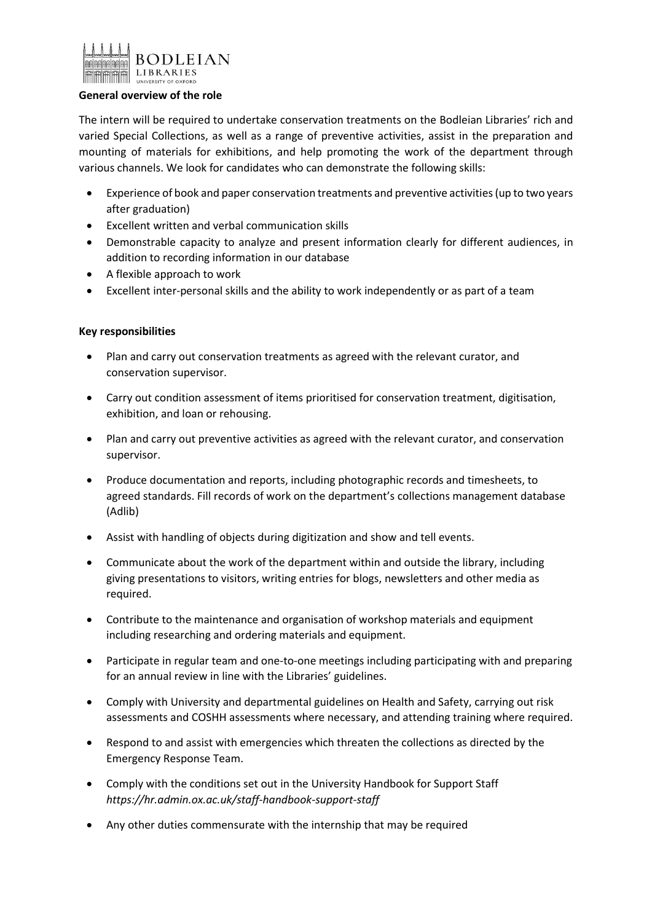

#### **General overview of the role**

The intern will be required to undertake conservation treatments on the Bodleian Libraries' rich and varied Special Collections, as well as a range of preventive activities, assist in the preparation and mounting of materials for exhibitions, and help promoting the work of the department through various channels. We look for candidates who can demonstrate the following skills:

- Experience of book and paper conservation treatments and preventive activities(up to two years after graduation)
- Excellent written and verbal communication skills
- Demonstrable capacity to analyze and present information clearly for different audiences, in addition to recording information in our database
- A flexible approach to work
- Excellent inter-personal skills and the ability to work independently or as part of a team

## **Key responsibilities**

- Plan and carry out conservation treatments as agreed with the relevant curator, and conservation supervisor.
- Carry out condition assessment of items prioritised for conservation treatment, digitisation, exhibition, and loan or rehousing.
- Plan and carry out preventive activities as agreed with the relevant curator, and conservation supervisor.
- Produce documentation and reports, including photographic records and timesheets, to agreed standards. Fill records of work on the department's collections management database (Adlib)
- Assist with handling of objects during digitization and show and tell events.
- Communicate about the work of the department within and outside the library, including giving presentations to visitors, writing entries for blogs, newsletters and other media as required.
- Contribute to the maintenance and organisation of workshop materials and equipment including researching and ordering materials and equipment.
- Participate in regular team and one-to-one meetings including participating with and preparing for an annual review in line with the Libraries' guidelines.
- Comply with University and departmental guidelines on Health and Safety, carrying out risk assessments and COSHH assessments where necessary, and attending training where required.
- Respond to and assist with emergencies which threaten the collections as directed by the Emergency Response Team.
- Comply with the conditions set out in the University Handbook for Support Staff *https://hr.admin.ox.ac.uk/staff-handbook-support-staff*
- Any other duties commensurate with the internship that may be required